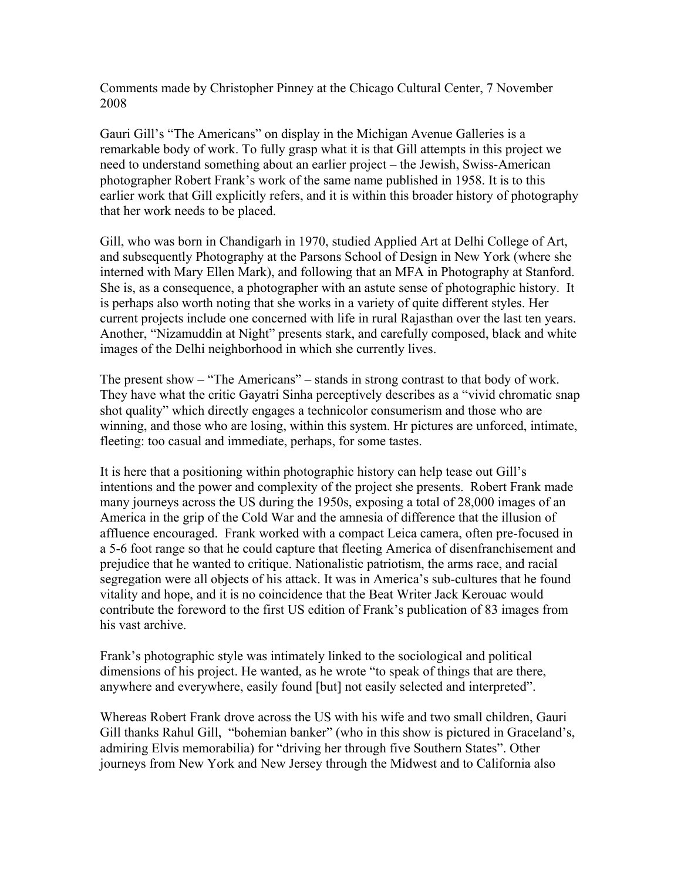Comments made by Christopher Pinney at the Chicago Cultural Center, 7 November 2008

Gauri Gill's "The Americans" on display in the Michigan Avenue Galleries is a remarkable body of work. To fully grasp what it is that Gill attempts in this project we need to understand something about an earlier project – the Jewish, Swiss-American photographer Robert Frank's work of the same name published in 1958. It is to this earlier work that Gill explicitly refers, and it is within this broader history of photography that her work needs to be placed.

Gill, who was born in Chandigarh in 1970, studied Applied Art at Delhi College of Art, and subsequently Photography at the Parsons School of Design in New York (where she interned with Mary Ellen Mark), and following that an MFA in Photography at Stanford. She is, as a consequence, a photographer with an astute sense of photographic history. It is perhaps also worth noting that she works in a variety of quite different styles. Her current projects include one concerned with life in rural Rajasthan over the last ten years. Another, "Nizamuddin at Night" presents stark, and carefully composed, black and white images of the Delhi neighborhood in which she currently lives.

The present show – "The Americans" – stands in strong contrast to that body of work. They have what the critic Gayatri Sinha perceptively describes as a "vivid chromatic snap shot quality" which directly engages a technicolor consumerism and those who are winning, and those who are losing, within this system. Hr pictures are unforced, intimate, fleeting: too casual and immediate, perhaps, for some tastes.

It is here that a positioning within photographic history can help tease out Gill's intentions and the power and complexity of the project she presents. Robert Frank made many journeys across the US during the 1950s, exposing a total of 28,000 images of an America in the grip of the Cold War and the amnesia of difference that the illusion of affluence encouraged. Frank worked with a compact Leica camera, often pre-focused in a 5-6 foot range so that he could capture that fleeting America of disenfranchisement and prejudice that he wanted to critique. Nationalistic patriotism, the arms race, and racial segregation were all objects of his attack. It was in America's sub-cultures that he found vitality and hope, and it is no coincidence that the Beat Writer Jack Kerouac would contribute the foreword to the first US edition of Frank's publication of 83 images from his vast archive.

Frank's photographic style was intimately linked to the sociological and political dimensions of his project. He wanted, as he wrote "to speak of things that are there, anywhere and everywhere, easily found [but] not easily selected and interpreted".

Whereas Robert Frank drove across the US with his wife and two small children, Gauri Gill thanks Rahul Gill, "bohemian banker" (who in this show is pictured in Graceland's, admiring Elvis memorabilia) for "driving her through five Southern States". Other journeys from New York and New Jersey through the Midwest and to California also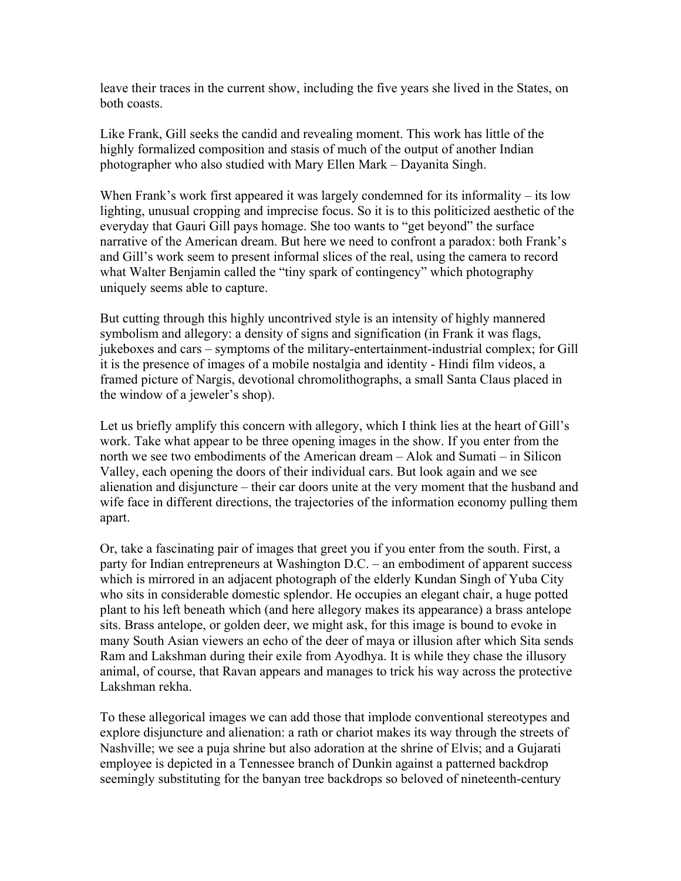leave their traces in the current show, including the five years she lived in the States, on both coasts.

Like Frank, Gill seeks the candid and revealing moment. This work has little of the highly formalized composition and stasis of much of the output of another Indian photographer who also studied with Mary Ellen Mark – Dayanita Singh.

When Frank's work first appeared it was largely condemned for its informality – its low lighting, unusual cropping and imprecise focus. So it is to this politicized aesthetic of the everyday that Gauri Gill pays homage. She too wants to "get beyond" the surface narrative of the American dream. But here we need to confront a paradox: both Frank's and Gill's work seem to present informal slices of the real, using the camera to record what Walter Benjamin called the "tiny spark of contingency" which photography uniquely seems able to capture.

But cutting through this highly uncontrived style is an intensity of highly mannered symbolism and allegory: a density of signs and signification (in Frank it was flags, jukeboxes and cars – symptoms of the military-entertainment-industrial complex; for Gill it is the presence of images of a mobile nostalgia and identity - Hindi film videos, a framed picture of Nargis, devotional chromolithographs, a small Santa Claus placed in the window of a jeweler's shop).

Let us briefly amplify this concern with allegory, which I think lies at the heart of Gill's work. Take what appear to be three opening images in the show. If you enter from the north we see two embodiments of the American dream – Alok and Sumati – in Silicon Valley, each opening the doors of their individual cars. But look again and we see alienation and disjuncture – their car doors unite at the very moment that the husband and wife face in different directions, the trajectories of the information economy pulling them apart.

Or, take a fascinating pair of images that greet you if you enter from the south. First, a party for Indian entrepreneurs at Washington D.C. – an embodiment of apparent success which is mirrored in an adjacent photograph of the elderly Kundan Singh of Yuba City who sits in considerable domestic splendor. He occupies an elegant chair, a huge potted plant to his left beneath which (and here allegory makes its appearance) a brass antelope sits. Brass antelope, or golden deer, we might ask, for this image is bound to evoke in many South Asian viewers an echo of the deer of maya or illusion after which Sita sends Ram and Lakshman during their exile from Ayodhya. It is while they chase the illusory animal, of course, that Ravan appears and manages to trick his way across the protective Lakshman rekha.

To these allegorical images we can add those that implode conventional stereotypes and explore disjuncture and alienation: a rath or chariot makes its way through the streets of Nashville; we see a puja shrine but also adoration at the shrine of Elvis; and a Gujarati employee is depicted in a Tennessee branch of Dunkin against a patterned backdrop seemingly substituting for the banyan tree backdrops so beloved of nineteenth-century